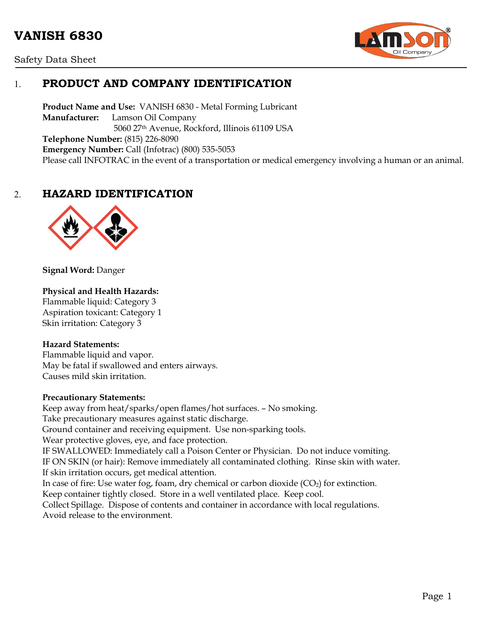# **VANISH 6830**





# 1. **PRODUCT AND COMPANY IDENTIFICATION**

**Product Name and Use:** VANISH 6830 - Metal Forming Lubricant **Manufacturer:** Lamson Oil Company 5060 27th Avenue, Rockford, Illinois 61109 USA **Telephone Number:** (815) 226-8090 **Emergency Number:** Call (Infotrac) (800) 535-5053 Please call INFOTRAC in the event of a transportation or medical emergency involving a human or an animal.

## 2. **HAZARD IDENTIFICATION**



**Signal Word:** Danger

#### **Physical and Health Hazards:**

Flammable liquid: Category 3 Aspiration toxicant: Category 1 Skin irritation: Category 3

#### **Hazard Statements:**

Flammable liquid and vapor. May be fatal if swallowed and enters airways. Causes mild skin irritation.

#### **Precautionary Statements:**

Keep away from heat/sparks/open flames/hot surfaces. – No smoking. Take precautionary measures against static discharge. Ground container and receiving equipment. Use non-sparking tools. Wear protective gloves, eye, and face protection. IF SWALLOWED: Immediately call a Poison Center or Physician. Do not induce vomiting. IF ON SKIN (or hair): Remove immediately all contaminated clothing. Rinse skin with water. If skin irritation occurs, get medical attention. In case of fire: Use water fog, foam, dry chemical or carbon dioxide  $(CO<sub>2</sub>)$  for extinction. Keep container tightly closed. Store in a well ventilated place. Keep cool. Collect Spillage. Dispose of contents and container in accordance with local regulations. Avoid release to the environment.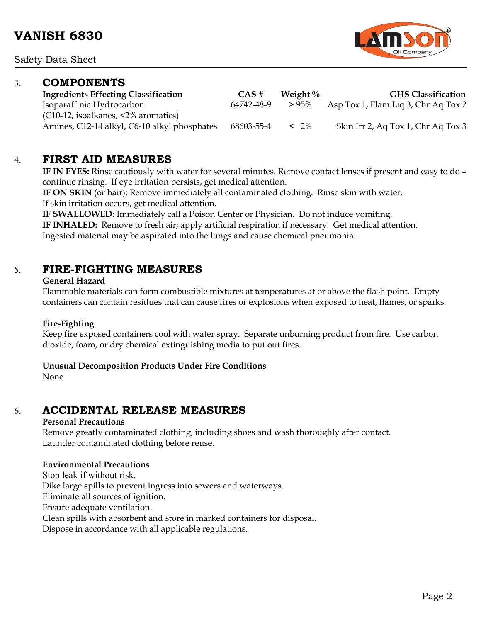Safety Data Sheet

### 3. **COMPONENTS**

**Ingredients Effecting Classification CAS # Weight % GHS Classification** Isoparaffinic Hydrocarbon 64742-48-9 > 95% Asp Tox 1, Flam Liq 3, Chr Aq Tox 2

(C10-12, isoalkanes, <2% aromatics)

Amines, C12-14 alkyl, C6-10 alkyl phosphates 68603-55-4 < 2% Skin Irr 2, Aq Tox 1, Chr Aq Tox 3

### 4. **FIRST AID MEASURES**

**IF IN EYES:** Rinse cautiously with water for several minutes. Remove contact lenses if present and easy to do – continue rinsing. If eye irritation persists, get medical attention.

**IF ON SKIN** (or hair): Remove immediately all contaminated clothing. Rinse skin with water. If skin irritation occurs, get medical attention.

**IF SWALLOWED**: Immediately call a Poison Center or Physician. Do not induce vomiting.

**IF INHALED:** Remove to fresh air; apply artificial respiration if necessary. Get medical attention.

Ingested material may be aspirated into the lungs and cause chemical pneumonia.

## 5. **FIRE-FIGHTING MEASURES**

#### **General Hazard**

Flammable materials can form combustible mixtures at temperatures at or above the flash point. Empty containers can contain residues that can cause fires or explosions when exposed to heat, flames, or sparks.

#### **Fire-Fighting**

Keep fire exposed containers cool with water spray. Separate unburning product from fire. Use carbon dioxide, foam, or dry chemical extinguishing media to put out fires.

#### **Unusual Decomposition Products Under Fire Conditions**

None

# 6. **ACCIDENTAL RELEASE MEASURES**

#### **Personal Precautions**

Remove greatly contaminated clothing, including shoes and wash thoroughly after contact. Launder contaminated clothing before reuse.

#### **Environmental Precautions**

Stop leak if without risk. Dike large spills to prevent ingress into sewers and waterways. Eliminate all sources of ignition. Ensure adequate ventilation. Clean spills with absorbent and store in marked containers for disposal. Dispose in accordance with all applicable regulations.

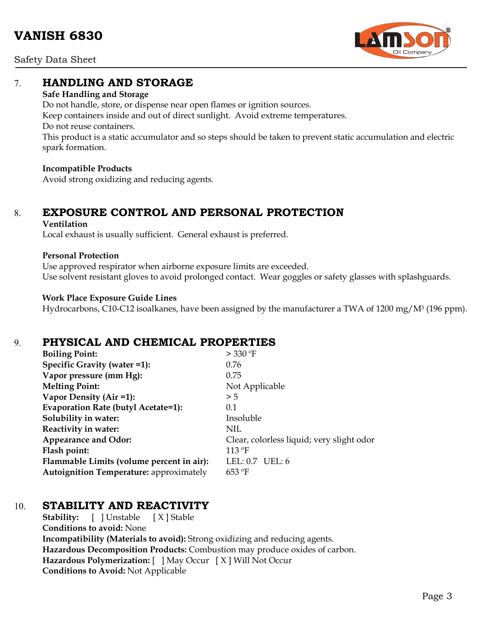Safety Data Sheet



## 7. **HANDLING AND STORAGE**

#### **Safe Handling and Storage**

Do not handle, store, or dispense near open flames or ignition sources. Keep containers inside and out of direct sunlight. Avoid extreme temperatures. Do not reuse containers. This product is a static accumulator and so steps should be taken to prevent static accumulation and electric spark formation.

#### **Incompatible Products**

Avoid strong oxidizing and reducing agents.

# 8. **EXPOSURE CONTROL AND PERSONAL PROTECTION**

#### **Ventilation**

Local exhaust is usually sufficient. General exhaust is preferred.

#### **Personal Protection**

Use approved respirator when airborne exposure limits are exceeded. Use solvent resistant gloves to avoid prolonged contact. Wear goggles or safety glasses with splashguards.

#### **Work Place Exposure Guide Lines**

Hydrocarbons, C10-C12 isoalkanes, have been assigned by the manufacturer a TWA of 1200 mg/M<sup>3</sup> (196 ppm).

### 9. **PHYSICAL AND CHEMICAL PROPERTIES**

| <b>Boiling Point:</b>                          | > 330 °F                                  |
|------------------------------------------------|-------------------------------------------|
| Specific Gravity (water =1):                   | 0.76                                      |
| Vapor pressure (mm Hg):                        | 0.75                                      |
| <b>Melting Point:</b>                          | Not Applicable                            |
| Vapor Density (Air =1):                        | > 5                                       |
| Evaporation Rate (butyl Acetate=1):            | 0.1                                       |
| Solubility in water:                           | Insoluble                                 |
| Reactivity in water:                           | NIL                                       |
| <b>Appearance and Odor:</b>                    | Clear, colorless liquid; very slight odor |
| Flash point:                                   | 113 °F                                    |
| Flammable Limits (volume percent in air):      | LEL: $0.7$ UEL: 6                         |
| <b>Autoignition Temperature: approximately</b> | $653 \text{ }^{\circ}F$                   |

# 10. **STABILITY AND REACTIVITY**

**Stability:** [ ] Unstable [ X ] Stable **Conditions to avoid:** None **Incompatibility (Materials to avoid):** Strong oxidizing and reducing agents. **Hazardous Decomposition Products:** Combustion may produce oxides of carbon. **Hazardous Polymerization:** [ ] May Occur [ X ] Will Not Occur **Conditions to Avoid:** Not Applicable